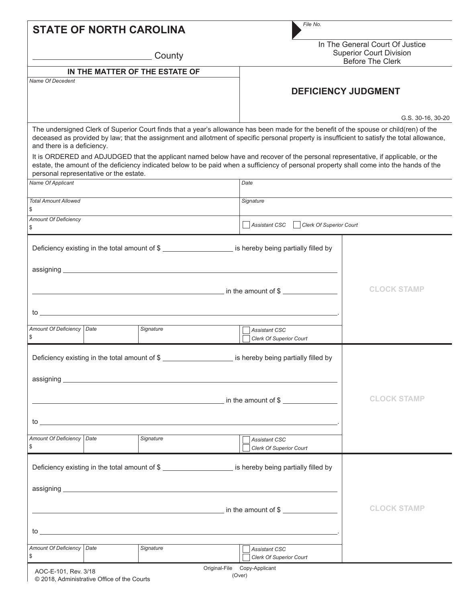| <b>STATE OF NORTH CAROLINA</b>                |                                                                                                                                                                                                                                                                                 | File No.                                                                                                                                                                                                                                                                               |                                                                                              |  |  |
|-----------------------------------------------|---------------------------------------------------------------------------------------------------------------------------------------------------------------------------------------------------------------------------------------------------------------------------------|----------------------------------------------------------------------------------------------------------------------------------------------------------------------------------------------------------------------------------------------------------------------------------------|----------------------------------------------------------------------------------------------|--|--|
|                                               | County                                                                                                                                                                                                                                                                          |                                                                                                                                                                                                                                                                                        | In The General Court Of Justice<br><b>Superior Court Division</b><br><b>Before The Clerk</b> |  |  |
|                                               | IN THE MATTER OF THE ESTATE OF                                                                                                                                                                                                                                                  |                                                                                                                                                                                                                                                                                        |                                                                                              |  |  |
| Name Of Decedent                              |                                                                                                                                                                                                                                                                                 |                                                                                                                                                                                                                                                                                        | <b>DEFICIENCY JUDGMENT</b>                                                                   |  |  |
|                                               |                                                                                                                                                                                                                                                                                 |                                                                                                                                                                                                                                                                                        | G.S. 30-16, 30-20                                                                            |  |  |
| and there is a deficiency.                    |                                                                                                                                                                                                                                                                                 | The undersigned Clerk of Superior Court finds that a year's allowance has been made for the benefit of the spouse or child(ren) of the<br>deceased as provided by law; that the assignment and allotment of specific personal property is insufficient to satisfy the total allowance, |                                                                                              |  |  |
| personal representative or the estate.        |                                                                                                                                                                                                                                                                                 | It is ORDERED and ADJUDGED that the applicant named below have and recover of the personal representative, if applicable, or the<br>estate, the amount of the deficiency indicated below to be paid when a sufficiency of personal property shall come into the hands of the           |                                                                                              |  |  |
| Name Of Applicant                             |                                                                                                                                                                                                                                                                                 | Date                                                                                                                                                                                                                                                                                   |                                                                                              |  |  |
| Total Amount Allowed                          |                                                                                                                                                                                                                                                                                 | Signature                                                                                                                                                                                                                                                                              |                                                                                              |  |  |
| \$                                            |                                                                                                                                                                                                                                                                                 |                                                                                                                                                                                                                                                                                        |                                                                                              |  |  |
| <b>Amount Of Deficiency</b><br>\$             | Assistant CSC<br>  Clerk Of Superior Court                                                                                                                                                                                                                                      |                                                                                                                                                                                                                                                                                        |                                                                                              |  |  |
|                                               |                                                                                                                                                                                                                                                                                 | Deficiency existing in the total amount of \$                                                                                                                                                                                                                                          |                                                                                              |  |  |
|                                               |                                                                                                                                                                                                                                                                                 |                                                                                                                                                                                                                                                                                        | <b>CLOCK STAMP</b>                                                                           |  |  |
|                                               | $\frac{1}{2}$ to $\frac{1}{2}$ . The set of $\frac{1}{2}$ is the set of $\frac{1}{2}$ is the set of $\frac{1}{2}$ is the set of $\frac{1}{2}$ is the set of $\frac{1}{2}$ is the set of $\frac{1}{2}$ is the set of $\frac{1}{2}$ is the set of $\frac{1}{2}$ is the            |                                                                                                                                                                                                                                                                                        |                                                                                              |  |  |
| Amount Of Deficiency   Date<br>\$             | Signature                                                                                                                                                                                                                                                                       | <b>Assistant CSC</b><br><b>Clerk Of Superior Court</b>                                                                                                                                                                                                                                 |                                                                                              |  |  |
| Deficiency existing in the total amount of \$ |                                                                                                                                                                                                                                                                                 | is hereby being partially filled by                                                                                                                                                                                                                                                    |                                                                                              |  |  |
|                                               |                                                                                                                                                                                                                                                                                 |                                                                                                                                                                                                                                                                                        |                                                                                              |  |  |
|                                               |                                                                                                                                                                                                                                                                                 | <u>net also a set of the set of the set of the set of the set of the set of the set of the set of the set of the set of the set of the set of the set of the set of the set of the set of the set of the set of the set of the s</u>                                                   | <b>CLOCK STAMP</b>                                                                           |  |  |
|                                               | $\mathsf{to}$ . The set of $\mathsf{to}$ is the set of $\mathsf{to}$ is the set of $\mathsf{to}$ is the set of $\mathsf{to}$ is the set of $\mathsf{to}$ is the set of $\mathsf{to}$ is the set of $\mathsf{to}$ is the set of $\mathsf{to}$ is the set of $\mathsf{to}$ is the |                                                                                                                                                                                                                                                                                        |                                                                                              |  |  |
| Amount Of Deficiency Date<br>\$               | Signature                                                                                                                                                                                                                                                                       | <b>Assistant CSC</b><br><b>Clerk Of Superior Court</b>                                                                                                                                                                                                                                 |                                                                                              |  |  |
|                                               |                                                                                                                                                                                                                                                                                 | Deficiency existing in the total amount of \$                                                                                                                                                                                                                                          |                                                                                              |  |  |
|                                               |                                                                                                                                                                                                                                                                                 |                                                                                                                                                                                                                                                                                        |                                                                                              |  |  |
| $\sim$ in the amount of \$                    | <b>CLOCK STAMP</b>                                                                                                                                                                                                                                                              |                                                                                                                                                                                                                                                                                        |                                                                                              |  |  |
|                                               | $\mathsf{to}$ . The set of $\mathsf{to}$ is the set of $\mathsf{to}$ in the set of $\mathsf{to}$ is the set of $\mathsf{to}$ in the set of $\mathsf{to}$ is the set of $\mathsf{to}$ is the set of $\mathsf{to}$ is the set of $\mathsf{to}$ is the set of $\mathsf{to}$ is the |                                                                                                                                                                                                                                                                                        |                                                                                              |  |  |
| Amount Of Deficiency   Date<br>\$             | Signature                                                                                                                                                                                                                                                                       | <b>Assistant CSC</b><br><b>Clerk Of Superior Court</b>                                                                                                                                                                                                                                 |                                                                                              |  |  |
| AOC-E-101, Rev. 3/18                          |                                                                                                                                                                                                                                                                                 | Original-File Copy-Applicant                                                                                                                                                                                                                                                           |                                                                                              |  |  |